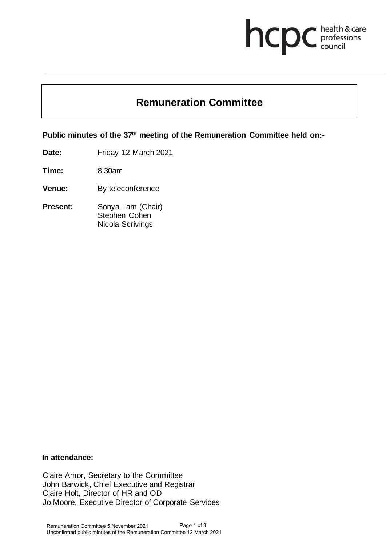# **health & care**

# **Remuneration Committee**

**Public minutes of the 37th meeting of the Remuneration Committee held on:-**

**Date:** Friday 12 March 2021

**Time:** 8.30am

**Venue:** By teleconference

**Present:** Sonya Lam (Chair) Stephen Cohen Nicola Scrivings

# **In attendance:**

Claire Amor, Secretary to the Committee John Barwick, Chief Executive and Registrar Claire Holt, Director of HR and OD Jo Moore, Executive Director of Corporate Services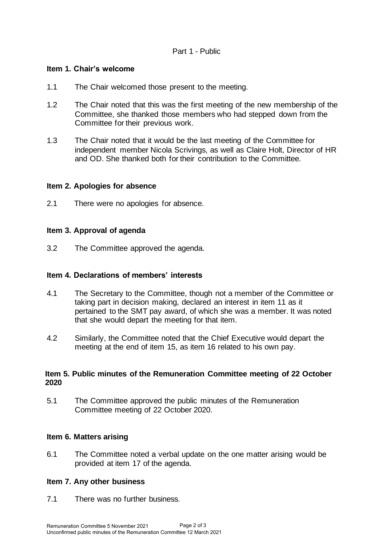# Part 1 - Public

# **Item 1. Chair's welcome**

- 1.1 The Chair welcomed those present to the meeting.
- 1.2 The Chair noted that this was the first meeting of the new membership of the Committee, she thanked those members who had stepped down from the Committee for their previous work.
- 1.3 The Chair noted that it would be the last meeting of the Committee for independent member Nicola Scrivings, as well as Claire Holt, Director of HR and OD. She thanked both for their contribution to the Committee.

# **Item 2. Apologies for absence**

2.1 There were no apologies for absence.

# **Item 3. Approval of agenda**

3.2 The Committee approved the agenda.

#### **Item 4. Declarations of members' interests**

- 4.1 The Secretary to the Committee, though not a member of the Committee or taking part in decision making, declared an interest in item 11 as it pertained to the SMT pay award, of which she was a member. It was noted that she would depart the meeting for that item.
- 4.2 Similarly, the Committee noted that the Chief Executive would depart the meeting at the end of item 15, as item 16 related to his own pay.

# **Item 5. Public minutes of the Remuneration Committee meeting of 22 October 2020**

5.1 The Committee approved the public minutes of the Remuneration Committee meeting of 22 October 2020.

#### **Item 6. Matters arising**

6.1 The Committee noted a verbal update on the one matter arising would be provided at item 17 of the agenda.

#### **Item 7. Any other business**

7.1 There was no further business.